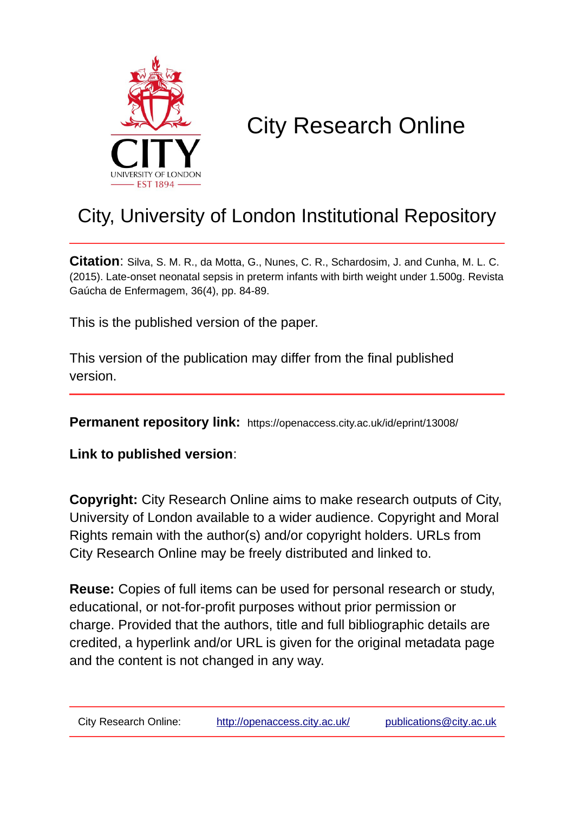

# City Research Online

# City, University of London Institutional Repository

**Citation**: Silva, S. M. R., da Motta, G., Nunes, C. R., Schardosim, J. and Cunha, M. L. C. (2015). Late-onset neonatal sepsis in preterm infants with birth weight under 1.500g. Revista Gaúcha de Enfermagem, 36(4), pp. 84-89.

This is the published version of the paper.

This version of the publication may differ from the final published version.

**Permanent repository link:** https://openaccess.city.ac.uk/id/eprint/13008/

**Link to published version**:

**Copyright:** City Research Online aims to make research outputs of City, University of London available to a wider audience. Copyright and Moral Rights remain with the author(s) and/or copyright holders. URLs from City Research Online may be freely distributed and linked to.

**Reuse:** Copies of full items can be used for personal research or study, educational, or not-for-profit purposes without prior permission or charge. Provided that the authors, title and full bibliographic details are credited, a hyperlink and/or URL is given for the original metadata page and the content is not changed in any way.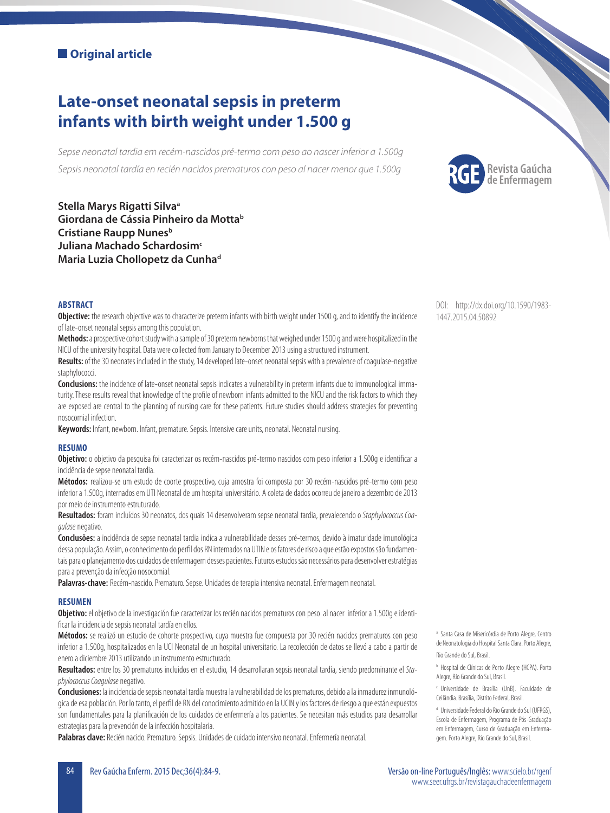# **Original article**

# **Late-onset neonatal sepsis in preterm infants with birth weight under 1.500 g**

*Sepse neonatal tardia em recém-nascidos pré-termo com peso ao nascer inferior a 1.500g Sepsis neonatal tardía en recién nacidos prematuros con peso al nacer menor que 1.500g*

**Stella Marys Rigatti Silvaa Giordana de Cássia Pinheiro da Mottab Cristiane Raupp Nunes**<sup>b</sup> **Juliana Machado Schardosim<sup>c</sup> Maria Luzia Chollopetz da Cunhad**



#### **ABSTRACT**

**Objective:** the research objective was to characterize preterm infants with birth weight under 1500 g, and to identify the incidence of late-onset neonatal sepsis among this population.

**Methods:** a prospective cohort study with a sample of 30 preterm newborns that weighed under 1500 g and were hospitalized in the NICU of the university hospital. Data were collected from January to December 2013 using a structured instrument.

**Results:** of the 30 neonates included in the study, 14 developed late-onset neonatal sepsis with a prevalence of coagulase-negative staphylococci.

**Conclusions:** the incidence of late-onset neonatal sepsis indicates a vulnerability in preterm infants due to immunological immaturity. These results reveal that knowledge of the profile of newborn infants admitted to the NICU and the risk factors to which they are exposed are central to the planning of nursing care for these patients. Future studies should address strategies for preventing nosocomial infection.

**Keywords:** Infant, newborn. Infant, premature. Sepsis. Intensive care units, neonatal. Neonatal nursing.

#### **RESUMO**

Objetivo: o objetivo da pesquisa foi caracterizar os recém-nascidos pré-termo nascidos com peso inferior a 1.500g e identificar a incidência de sepse neonatal tardia.

**Métodos:** realizou-se um estudo de coorte prospectivo, cuja amostra foi composta por 30 recém-nascidos pré-termo com peso inferior a 1.500g, internados em UTI Neonatal de um hospital universitário. A coleta de dados ocorreu de janeiro a dezembro de 2013 por meio de instrumento estruturado.

**Resultados:** foram incluídos 30 neonatos, dos quais 14 desenvolveram sepse neonatal tardia, prevalecendo o *Staphylococcus Coagulase* negativo.

**Conclusões:** a incidência de sepse neonatal tardia indica a vulnerabilidade desses pré-termos, devido à imaturidade imunológica dessa população. Assim, o conhecimento do perfi l dos RN internados na UTIN e os fatores de risco a que estão expostos são fundamentais para o planejamento dos cuidados de enfermagem desses pacientes. Futuros estudos são necessários para desenvolver estratégias para a prevenção da infecção nosocomial.

**Palavras-chave:** Recém-nascido. Prematuro. Sepse. Unidades de terapia intensiva neonatal. Enfermagem neonatal.

#### **RESUMEN**

**Objetivo:** el objetivo de la investigación fue caracterizar los recién nacidos prematuros con peso al nacer inferior a 1.500g e identificar la incidencia de sepsis neonatal tardía en ellos.

**Métodos:** se realizó un estudio de cohorte prospectivo, cuya muestra fue compuesta por 30 recién nacidos prematuros con peso inferior a 1.500g, hospitalizados en la UCI Neonatal de un hospital universitario. La recolección de datos se llevó a cabo a partir de enero a diciembre 2013 utilizando un instrumento estructurado.

**Resultados:** entre los 30 prematuros incluidos en el estudio, 14 desarrollaran sepsis neonatal tardía, siendo predominante el *Staphylococcus Coagulase* negativo.

**Conclusiones:** la incidencia de sepsis neonatal tardía muestra la vulnerabilidad de los prematuros, debido a la inmadurez inmunológica de esa población. Por lo tanto, el perfi l de RN del conocimiento admitido en la UCIN y los factores de riesgo a que están expuestos son fundamentales para la planificación de los cuidados de enfermería a los pacientes. Se necesitan más estudios para desarrollar estrategias para la prevención de la infección hospitalaria.

**Palabras clave:** Recién nacido. Prematuro. Sepsis. Unidades de cuidado intensivo neonatal. Enfermería neonatal.

DOI: http://dx.doi.org/10.1590/1983- 1447.2015.04.50892

<sup>a</sup> Santa Casa de Misericórdia de Porto Alegre, Centro de Neonatologia do Hospital Santa Clara. Porto Alegre, Rio Grande do Sul, Brasil.

b Hospital de Clínicas de Porto Alegre (HCPA). Porto Alegre, Rio Grande do Sul, Brasil.

c Universidade de Brasília (UnB). Faculdade de Ceilândia. Brasília, Distrito Federal, Brasil.

<sup>d</sup> Universidade Federal do Rio Grande do Sul (UFRGS), Escola de Enfermagem, Programa de Pós-Graduação em Enfermagem, Curso de Graduação em Enfermagem. Porto Alegre, Rio Grande do Sul, Brasil.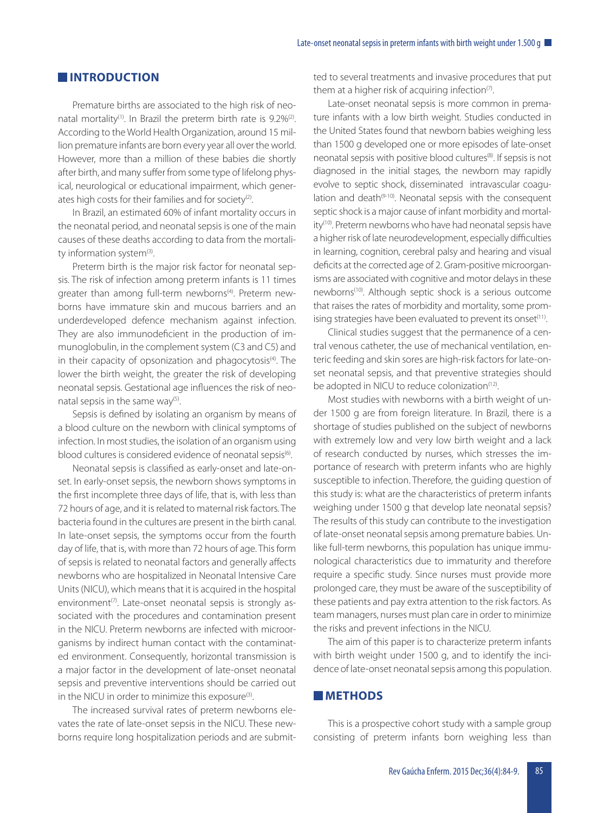## **EXISTENCIAL INTRODUCTION**

Premature births are associated to the high risk of neonatal mortality<sup>(1)</sup>. In Brazil the preterm birth rate is  $9.2\%^{(2)}$ . According to the World Health Organization, around 15 million premature infants are born every year all over the world. However, more than a million of these babies die shortly after birth, and many suffer from some type of lifelong physical, neurological or educational impairment, which generates high costs for their families and for society<sup>(2)</sup>.

In Brazil, an estimated 60% of infant mortality occurs in the neonatal period, and neonatal sepsis is one of the main causes of these deaths according to data from the mortality information system<sup>(3)</sup>.

Preterm birth is the major risk factor for neonatal sepsis. The risk of infection among preterm infants is 11 times greater than among full-term newborns<sup>(4)</sup>. Preterm newborns have immature skin and mucous barriers and an underdeveloped defence mechanism against infection. They are also immunodeficient in the production of immunoglobulin, in the complement system (C3 and C5) and in their capacity of opsonization and phagocytosis<sup>(4)</sup>. The lower the birth weight, the greater the risk of developing neonatal sepsis. Gestational age influences the risk of neonatal sepsis in the same way<sup>(5)</sup>.

Sepsis is defined by isolating an organism by means of a blood culture on the newborn with clinical symptoms of infection. In most studies, the isolation of an organism using blood cultures is considered evidence of neonatal sepsis<sup>(6)</sup>.

Neonatal sepsis is classified as early-onset and late-onset. In early-onset sepsis, the newborn shows symptoms in the first incomplete three days of life, that is, with less than 72 hours of age, and it is related to maternal risk factors. The bacteria found in the cultures are present in the birth canal. In late-onset sepsis, the symptoms occur from the fourth day of life, that is, with more than 72 hours of age. This form of sepsis is related to neonatal factors and generally affects newborns who are hospitalized in Neonatal Intensive Care Units (NICU), which means that it is acquired in the hospital environment<sup>(7)</sup>. Late-onset neonatal sepsis is strongly associated with the procedures and contamination present in the NICU. Preterm newborns are infected with microorganisms by indirect human contact with the contaminated environment. Consequently, horizontal transmission is a major factor in the development of late-onset neonatal sepsis and preventive interventions should be carried out in the NICU in order to minimize this exposure<sup>(3)</sup>.

The increased survival rates of preterm newborns elevates the rate of late-onset sepsis in the NICU. These newborns require long hospitalization periods and are submitted to several treatments and invasive procedures that put them at a higher risk of acquiring infection $(7)$ .

Late-onset neonatal sepsis is more common in premature infants with a low birth weight. Studies conducted in the United States found that newborn babies weighing less than 1500 g developed one or more episodes of late-onset neonatal sepsis with positive blood cultures<sup>(8)</sup>. If sepsis is not diagnosed in the initial stages, the newborn may rapidly evolve to septic shock, disseminated intravascular coagulation and death<sup>(9-10)</sup>. Neonatal sepsis with the consequent septic shock is a major cause of infant morbidity and mortality<sup>(10)</sup>. Preterm newborns who have had neonatal sepsis have a higher risk of late neurodevelopment, especially difficulties in learning, cognition, cerebral palsy and hearing and visual deficits at the corrected age of 2. Gram-positive microorganisms are associated with cognitive and motor delays in these newborns(10). Although septic shock is a serious outcome that raises the rates of morbidity and mortality, some promising strategies have been evaluated to prevent its onset<sup>(11)</sup>.

Clinical studies suggest that the permanence of a central venous catheter, the use of mechanical ventilation, enteric feeding and skin sores are high-risk factors for late-onset neonatal sepsis, and that preventive strategies should be adopted in NICU to reduce colonization<sup>(12)</sup>.

Most studies with newborns with a birth weight of under 1500 g are from foreign literature. In Brazil, there is a shortage of studies published on the subject of newborns with extremely low and very low birth weight and a lack of research conducted by nurses, which stresses the importance of research with preterm infants who are highly susceptible to infection. Therefore, the guiding question of this study is: what are the characteristics of preterm infants weighing under 1500 g that develop late neonatal sepsis? The results of this study can contribute to the investigation of late-onset neonatal sepsis among premature babies. Unlike full-term newborns, this population has unique immunological characteristics due to immaturity and therefore require a specific study. Since nurses must provide more prolonged care, they must be aware of the susceptibility of these patients and pay extra attention to the risk factors. As team managers, nurses must plan care in order to minimize the risks and prevent infections in the NICU.

The aim of this paper is to characterize preterm infants with birth weight under 1500 g, and to identify the incidence of late-onset neonatal sepsis among this population.

### **METHODS**

This is a prospective cohort study with a sample group consisting of preterm infants born weighing less than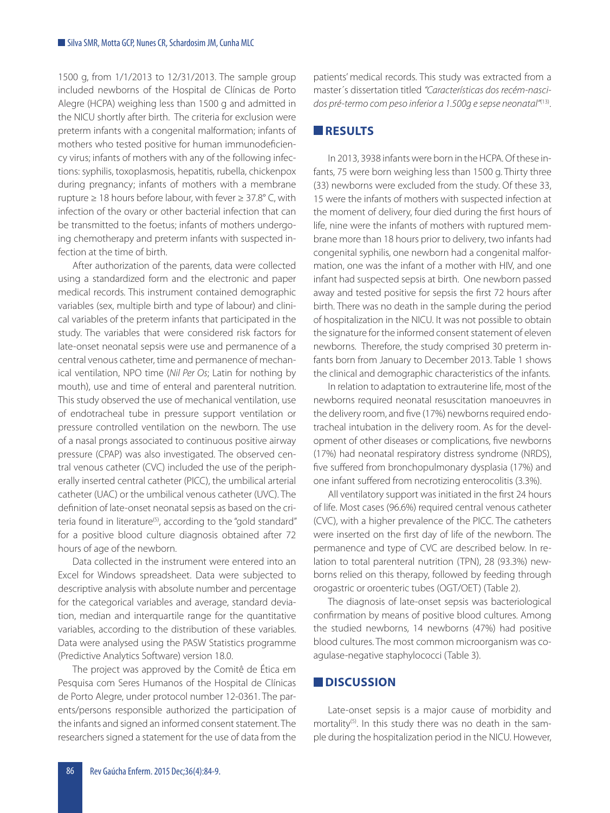1500 g, from 1/1/2013 to 12/31/2013. The sample group included newborns of the Hospital de Clínicas de Porto Alegre (HCPA) weighing less than 1500 g and admitted in the NICU shortly after birth. The criteria for exclusion were preterm infants with a congenital malformation; infants of mothers who tested positive for human immunodeficiency virus; infants of mothers with any of the following infections: syphilis, toxoplasmosis, hepatitis, rubella, chickenpox during pregnancy; infants of mothers with a membrane rupture  $\geq 18$  hours before labour, with fever  $\geq 37.8^{\circ}$  C, with infection of the ovary or other bacterial infection that can be transmitted to the foetus; infants of mothers undergoing chemotherapy and preterm infants with suspected infection at the time of birth.

After authorization of the parents, data were collected using a standardized form and the electronic and paper medical records. This instrument contained demographic variables (sex, multiple birth and type of labour) and clinical variables of the preterm infants that participated in the study. The variables that were considered risk factors for late-onset neonatal sepsis were use and permanence of a central venous catheter, time and permanence of mechanical ventilation, NPO time (*Nil Per Os*; Latin for nothing by mouth), use and time of enteral and parenteral nutrition. This study observed the use of mechanical ventilation, use of endotracheal tube in pressure support ventilation or pressure controlled ventilation on the newborn. The use of a nasal prongs associated to continuous positive airway pressure (CPAP) was also investigated. The observed central venous catheter (CVC) included the use of the peripherally inserted central catheter (PICC), the umbilical arterial catheter (UAC) or the umbilical venous catheter (UVC). The definition of late-onset neonatal sepsis as based on the criteria found in literature<sup>(5)</sup>, according to the "gold standard" for a positive blood culture diagnosis obtained after 72 hours of age of the newborn.

Data collected in the instrument were entered into an Excel for Windows spreadsheet. Data were subjected to descriptive analysis with absolute number and percentage for the categorical variables and average, standard deviation, median and interquartile range for the quantitative variables, according to the distribution of these variables. Data were analysed using the PASW Statistics programme (Predictive Analytics Software) version 18.0.

The project was approved by the Comitê de Ética em Pesquisa com Seres Humanos of the Hospital de Clínicas de Porto Alegre, under protocol number 12-0361. The parents/persons responsible authorized the participation of the infants and signed an informed consent statement. The researchers signed a statement for the use of data from the patients' medical records. This study was extracted from a master´s dissertation titled *"Características dos recém-nascidos pré-termo com peso inferior a 1.500g e sepse neonatal"*(13).

#### **RESULTS**

In 2013, 3938 infants were born in the HCPA. Of these infants, 75 were born weighing less than 1500 g. Thirty three (33) newborns were excluded from the study. Of these 33, 15 were the infants of mothers with suspected infection at the moment of delivery, four died during the first hours of life, nine were the infants of mothers with ruptured membrane more than 18 hours prior to delivery, two infants had congenital syphilis, one newborn had a congenital malformation, one was the infant of a mother with HIV, and one infant had suspected sepsis at birth. One newborn passed away and tested positive for sepsis the first 72 hours after birth. There was no death in the sample during the period of hospitalization in the NICU. It was not possible to obtain the signature for the informed consent statement of eleven newborns. Therefore, the study comprised 30 preterm infants born from January to December 2013. Table 1 shows the clinical and demographic characteristics of the infants.

In relation to adaptation to extrauterine life, most of the newborns required neonatal resuscitation manoeuvres in the delivery room, and five (17%) newborns required endotracheal intubation in the delivery room. As for the development of other diseases or complications, five newborns (17%) had neonatal respiratory distress syndrome (NRDS), five suffered from bronchopulmonary dysplasia (17%) and one infant suffered from necrotizing enterocolitis (3.3%).

All ventilatory support was initiated in the first 24 hours of life. Most cases (96.6%) required central venous catheter (CVC), with a higher prevalence of the PICC. The catheters were inserted on the first day of life of the newborn. The permanence and type of CVC are described below. In relation to total parenteral nutrition (TPN), 28 (93.3%) newborns relied on this therapy, followed by feeding through orogastric or oroenteric tubes (OGT/OET) (Table 2).

The diagnosis of late-onset sepsis was bacteriological confirmation by means of positive blood cultures. Among the studied newborns, 14 newborns (47%) had positive blood cultures. The most common microorganism was coagulase-negative staphylococci (Table 3).

### **N**DISCUSSION

Late-onset sepsis is a major cause of morbidity and mortality<sup>(5)</sup>. In this study there was no death in the sample during the hospitalization period in the NICU. However,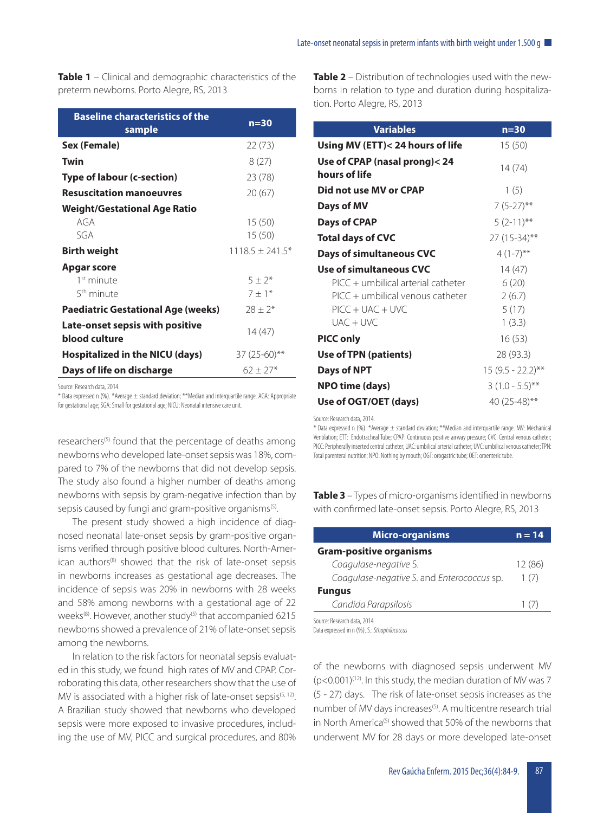**Table 1** – Clinical and demographic characteristics of the preterm newborns. Porto Alegre, RS, 2013

| <b>Baseline characteristics of the</b><br>sample | $n=30$              |
|--------------------------------------------------|---------------------|
| Sex (Female)                                     | 22(73)              |
| Twin                                             | 8(27)               |
| Type of labour (c-section)                       | 23 (78)             |
| <b>Resuscitation manoeuvres</b>                  | 20 (67)             |
| <b>Weight/Gestational Age Ratio</b>              |                     |
| AGA                                              | 15(50)              |
| SGA                                              | 15(50)              |
| Birth weight                                     | $1118.5 \pm 241.5*$ |
| Apgar score                                      |                     |
| 1 <sup>st</sup> minute                           | $5 + 2^*$           |
| 5 <sup>th</sup> minute                           | $7 \pm 1*$          |
| <b>Paediatric Gestational Age (weeks)</b>        | $28 \pm 2*$         |
| Late-onset sepsis with positive<br>blood culture | 14(47)              |
| Hospitalized in the NICU (days)                  | $37(25-60)$ **      |
| Days of life on discharge                        | $62 + 27*$          |

Source: Research data, 2014.

\* Data expressed n (%). \*Average ± standard deviation; \*\*Median and interquartile range. AGA: Appropriate for gestational age; SGA: Small for gestational age; NICU: Neonatal intensive care unit.

researchers<sup>(5)</sup> found that the percentage of deaths among newborns who developed late-onset sepsis was 18%, compared to 7% of the newborns that did not develop sepsis. The study also found a higher number of deaths among newborns with sepsis by gram-negative infection than by sepsis caused by fungi and gram-positive organisms<sup>(5)</sup>.

The present study showed a high incidence of diagnosed neonatal late-onset sepsis by gram-positive organisms verified through positive blood cultures. North-American authors<sup>(8)</sup> showed that the risk of late-onset sepsis in newborns increases as gestational age decreases. The incidence of sepsis was 20% in newborns with 28 weeks and 58% among newborns with a gestational age of 22 weeks<sup>(8)</sup>. However, another study<sup>(5)</sup> that accompanied 6215 newborns showed a prevalence of 21% of late-onset sepsis among the newborns.

In relation to the risk factors for neonatal sepsis evaluated in this study, we found high rates of MV and CPAP. Corroborating this data, other researchers show that the use of MV is associated with a higher risk of late-onset sepsis $(5, 12)$ . A Brazilian study showed that newborns who developed sepsis were more exposed to invasive procedures, including the use of MV, PICC and surgical procedures, and 80%

**Table 2** – Distribution of technologies used with the newborns in relation to type and duration during hospitalization. Porto Alegre, RS, 2013

| <b>Variables</b>                               | $n=30$              |
|------------------------------------------------|---------------------|
| Using MV (ETT)< 24 hours of life               | 15(50)              |
| Use of CPAP (nasal prong)< 24<br>hours of life | 14(74)              |
| Did not use MV or CPAP                         | 1(5)                |
| Days of MV                                     | $7(5-27)$ **        |
| <b>Days of CPAP</b>                            | $5(2-11)$ **        |
| <b>Total days of CVC</b>                       | 27 (15-34)**        |
| <b>Days of simultaneous CVC</b>                | $4(1-7)$ **         |
| <b>Use of simultaneous CVC</b>                 | 14(47)              |
| PICC + umbilical arterial catheter             | 6(20)               |
| $\text{PICC}$ + umbilical venous catheter      | 2(6.7)              |
| $\text{PICC} + \text{UAC} + \text{UVC}$        | 5(17)               |
| $IJAC + IJVC$                                  | 1(3.3)              |
| <b>PICC only</b>                               | 16(53)              |
| Use of TPN (patients)                          | 28 (93.3)           |
| <b>Days of NPT</b>                             | $15(9.5 - 22.2)$ ** |
| <b>NPO time (days)</b>                         | $3(1.0 - 5.5)^{**}$ |
| Use of OGT/OET (days)                          | 40 $(25-48)$ **     |

Source: Research data, 2014.

\* Data expressed n (%). \*Average ± standard deviation; \*\*Median and interquartile range. MV: Mechanical Ventilation; ETT: Endotracheal Tube; CPAP: Continuous positive airway pressure; CVC: Central venous catheter; PICC: Peripherally inserted central catheter; UAC: umbilical arterial catheter; UVC: umbilical venous catheter; TPN: Total parenteral nutrition; NPO: Nothing by mouth; OGT: orogastric tube; OET: oroenteric tube.

**Table 3** – Types of micro-organisms identified in newborns with confirmed late-onset sepsis. Porto Alegre, RS, 2013

| <b>Micro-organisms</b>                     | $n = 14$ |
|--------------------------------------------|----------|
| <b>Gram-positive organisms</b>             |          |
| Coagulase-negative S.                      | 12 (86)  |
| Coagulase-negative S. and Enterococcus sp. | 1(7)     |
| <b>Fungus</b>                              |          |
| Candida Parapsilosis                       | 1()      |
| Source: Research data, 2014.               |          |

Data expressed in n (%). S.: *Sthaphilococcus*

of the newborns with diagnosed sepsis underwent MV  $(p<0.001)^{(12)}$ . In this study, the median duration of MV was 7 (5 - 27) days. The risk of late-onset sepsis increases as the number of MV days increases<sup>(5)</sup>. A multicentre research trial in North America<sup>(5)</sup> showed that 50% of the newborns that underwent MV for 28 days or more developed late-onset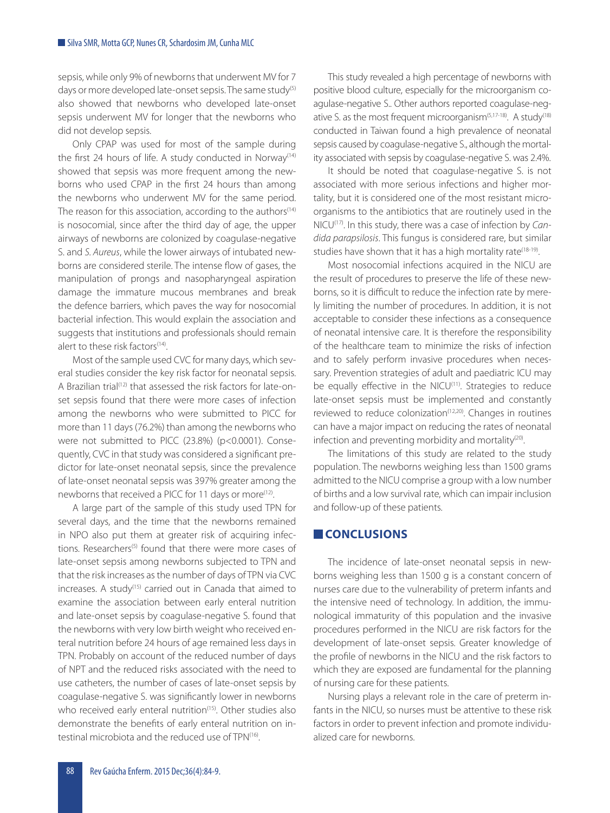sepsis, while only 9% of newborns that underwent MV for 7 days or more developed late-onset sepsis. The same study<sup>(5)</sup> also showed that newborns who developed late-onset sepsis underwent MV for longer that the newborns who did not develop sepsis.

Only CPAP was used for most of the sample during the first 24 hours of life. A study conducted in Norway<sup>(14)</sup> showed that sepsis was more frequent among the newborns who used CPAP in the first 24 hours than among the newborns who underwent MV for the same period. The reason for this association, according to the authors $(14)$ is nosocomial, since after the third day of age, the upper airways of newborns are colonized by coagulase-negative S. and *S. Aureus*, while the lower airways of intubated newborns are considered sterile. The intense flow of gases, the manipulation of prongs and nasopharyngeal aspiration damage the immature mucous membranes and break the defence barriers, which paves the way for nosocomial bacterial infection. This would explain the association and suggests that institutions and professionals should remain alert to these risk factors<sup>(14)</sup>.

Most of the sample used CVC for many days, which several studies consider the key risk factor for neonatal sepsis. A Brazilian trial<sup>(12)</sup> that assessed the risk factors for late-onset sepsis found that there were more cases of infection among the newborns who were submitted to PICC for more than 11 days (76.2%) than among the newborns who were not submitted to PICC (23.8%) (p<0.0001). Consequently, CVC in that study was considered a significant predictor for late-onset neonatal sepsis, since the prevalence of late-onset neonatal sepsis was 397% greater among the newborns that received a PICC for 11 days or more<sup>(12)</sup>.

A large part of the sample of this study used TPN for several days, and the time that the newborns remained in NPO also put them at greater risk of acquiring infections. Researchers<sup>(5)</sup> found that there were more cases of late-onset sepsis among newborns subjected to TPN and that the risk increases as the number of days of TPN via CVC increases. A study(15) carried out in Canada that aimed to examine the association between early enteral nutrition and late-onset sepsis by coagulase-negative S. found that the newborns with very low birth weight who received enteral nutrition before 24 hours of age remained less days in TPN. Probably on account of the reduced number of days of NPT and the reduced risks associated with the need to use catheters, the number of cases of late-onset sepsis by coagulase-negative S. was significantly lower in newborns who received early enteral nutrition<sup>(15)</sup>. Other studies also demonstrate the benefits of early enteral nutrition on intestinal microbiota and the reduced use of TPN(16).

This study revealed a high percentage of newborns with positive blood culture, especially for the microorganism coagulase-negative S.. Other authors reported coagulase-negative S. as the most frequent microorganism $(5,17-18)$ . A study $(18)$ conducted in Taiwan found a high prevalence of neonatal sepsis caused by coagulase-negative S., although the mortality associated with sepsis by coagulase-negative S. was 2.4%.

It should be noted that coagulase-negative S. is not associated with more serious infections and higher mortality, but it is considered one of the most resistant microorganisms to the antibiotics that are routinely used in the NICU(17). In this study, there was a case of infection by *Candida parapsilosis*. This fungus is considered rare, but similar studies have shown that it has a high mortality rate<sup>(18-19)</sup>.

Most nosocomial infections acquired in the NICU are the result of procedures to preserve the life of these newborns, so it is difficult to reduce the infection rate by merely limiting the number of procedures. In addition, it is not acceptable to consider these infections as a consequence of neonatal intensive care. It is therefore the responsibility of the healthcare team to minimize the risks of infection and to safely perform invasive procedures when necessary. Prevention strategies of adult and paediatric ICU may be equally effective in the NICU<sup>(11)</sup>. Strategies to reduce late-onset sepsis must be implemented and constantly reviewed to reduce colonization<sup>(12,20)</sup>. Changes in routines can have a major impact on reducing the rates of neonatal infection and preventing morbidity and mortality<sup>(20)</sup>.

The limitations of this study are related to the study population. The newborns weighing less than 1500 grams admitted to the NICU comprise a group with a low number of births and a low survival rate, which can impair inclusion and follow-up of these patients.

#### **CONCLUSIONS**

The incidence of late-onset neonatal sepsis in newborns weighing less than 1500 g is a constant concern of nurses care due to the vulnerability of preterm infants and the intensive need of technology. In addition, the immunological immaturity of this population and the invasive procedures performed in the NICU are risk factors for the development of late-onset sepsis. Greater knowledge of the profile of newborns in the NICU and the risk factors to which they are exposed are fundamental for the planning of nursing care for these patients.

Nursing plays a relevant role in the care of preterm infants in the NICU, so nurses must be attentive to these risk factors in order to prevent infection and promote individualized care for newborns.